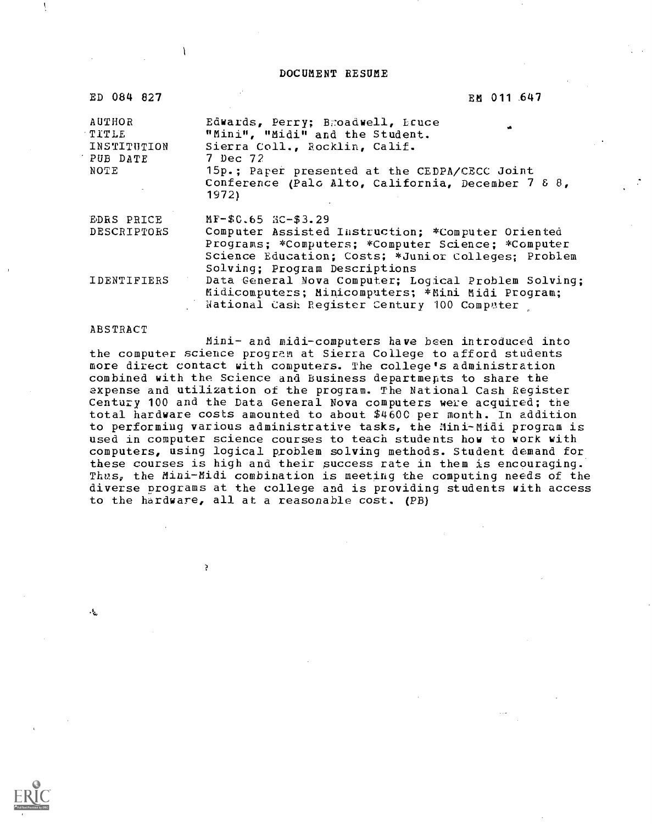DOCUMENT RESUME

| ED 084 827                                 | EM 011 647                                                                                                                                                                                      |
|--------------------------------------------|-------------------------------------------------------------------------------------------------------------------------------------------------------------------------------------------------|
| AUTHOR<br>TITLE<br>INSTITUTION<br>PUB DATE | Edwards, Perry; Bmoadwell, Equice<br>"Mini", "Midi" and the Student.<br>Sierra Coll., Rocklin, Calif.<br>7 Dec 72                                                                               |
| NOTE                                       | 15p.; Paper presented at the CEDPA/CECC Joint<br>Conference (Palc Alto, California, December 7 8 8,<br>1972)                                                                                    |
| EDRS PRICE                                 | $MF-$0.65$ $RC-$3.29$                                                                                                                                                                           |
| DESCRIPTORS                                | Computer Assisted Instruction; *Computer Oriented<br>Programs; *Computers; *Computer Science; *Computer<br>Science Education; Costs; *Junior Colleges; Problem<br>Solving; Program Descriptions |
| IDENTIFIERS                                | Data General Nova Computer; Logical Problem Solving;<br>Midicomputers; Minicomputers; *Mini Midi Program;<br>National Cash Register Century 100 Computer                                        |

#### ABSTRACT

 $\cdot$ 

 $\lambda$ 

 $\mathcal{L}$ 

 $\mathbf{I}$ 

Mini- and midi-computers have been introduced into the computer science program at Sierra College to afford students more direct contact with computers. The college's administration combined with the Science and Business departments to share the expense and utilization of the program. The National Cash Register Century 100 and the Data General Nova computers were acquired; the total hardware costs amounted to about \$4600 per month. In addition to performing various administrative tasks, the Mini-Midi program is used in computer science courses to teach students how to work with computers, using logical problem solving methods. Student demand for these courses is high and their success rate in them is encouraging. Thus, the Mini-Midi combination is meeting the computing needs of the diverse programs at the college and is providing students with access to the hardware, all at a reasonable cost. (PB)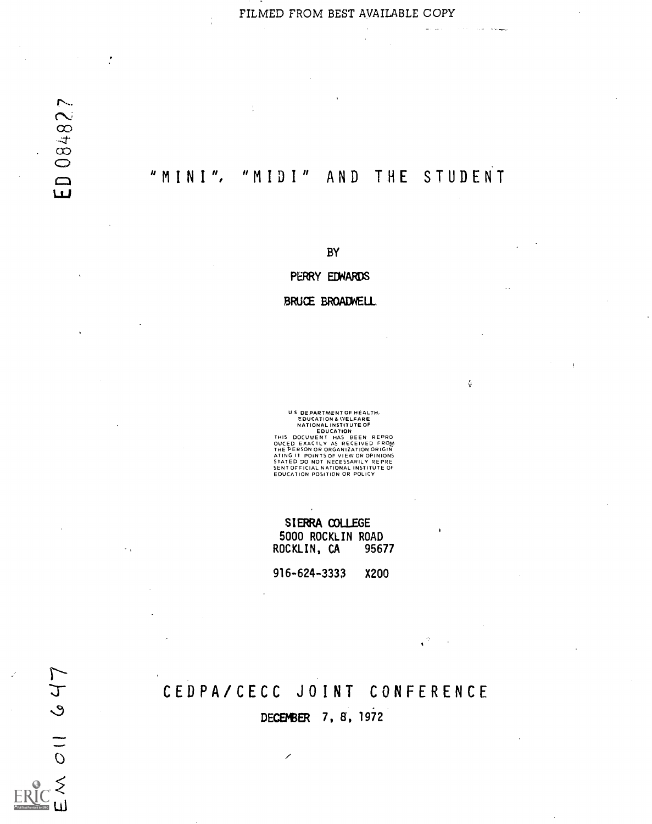FILMED FROM BEST AVAILABLE COPY

 $\frac{1}{2}$  and  $\frac{1}{2}$ 

يبدون المرادة

 $\mathcal{G}$ 

 $\mathbf{C}$ 

 $\ddot{\cdot}$ 

# "MINI", "MIDI" AND THE STUDENT

 $\frac{1}{2}$ 

BY

PERRY EDWARDS

BRUCE BROADWELL

US DEPARTMENT OF HEALTH,<br>SOUGATION A WELFARE<br>NATIONAL INSTITUTE OF<br>NATIONAL INSTITUTE OF<br>THIS DOCUMENT HAS BEEN REPRO<br>OUCED EXACTLY AS RECEIVED FROM<br>ATING IT POINTS OF VIEW OR OPINIONS<br>STATED 20 NOT NECESSARILY REPRE<br>SENTO

SIERRA COLLEGE 5000 ROCKLIN ROAD<br>OCKLIN, CA 95677 ROCKLIN, CA

916-624-3333 X200

# CEDPA/CECC JOINT CONFERENCE

DECEMBER 7, 8, 1972

 $\overline{\phantom{a}}$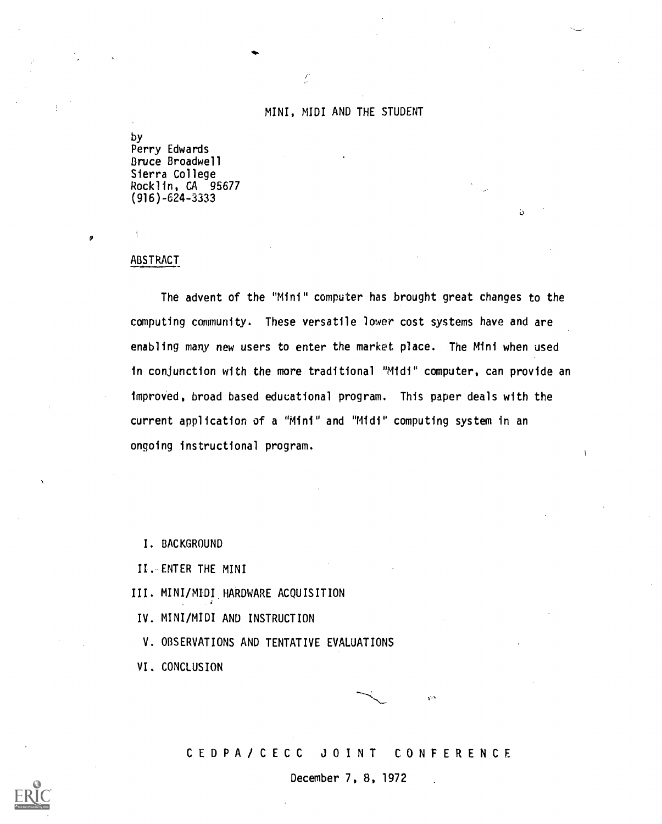$\int_{\partial S}$ 

by Perry Edwards Bruce Broadwell Sierra College Rocklin, CA 95677 (916)-624-3333

### ABSTRACT

 $\mathcal{L}$ 

ø

The advent of the "Mini" computer has brought great changes to the computing community. These versatile lower cost systems have and are enabling many new users to enter the market place. The Mini when used in conjunction with the more traditional "Midi" computer, can provide an improved, broad based educational program. This paper deals with the current application of a "Mini" and "Midi" computing system in an ongoing instructional program.

I. BACKGROUND

II. ENTER THE MINI

III. MINI/MIDI HARDWARE ACQUISITION

IV. MINI/MIDI AND INSTRUCTION

V. OBSERVATIONS AND TENTATIVE EVALUATIONS

VI. CONCLUSION

CEDPA/CECC JOINT CONFERENCE

f,

 $\mathbf{\hat{D}}$ 

December 7, 8, 1972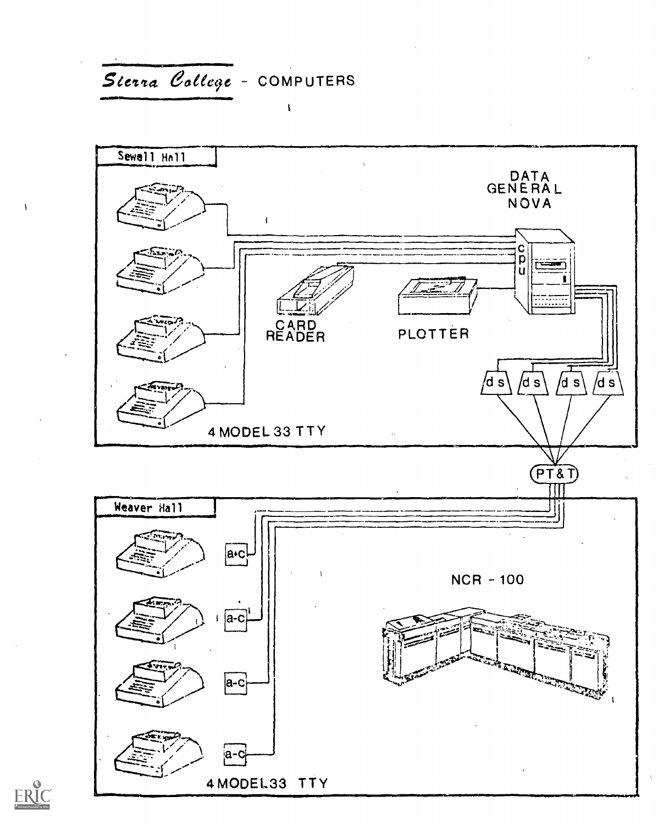



 $\lambda$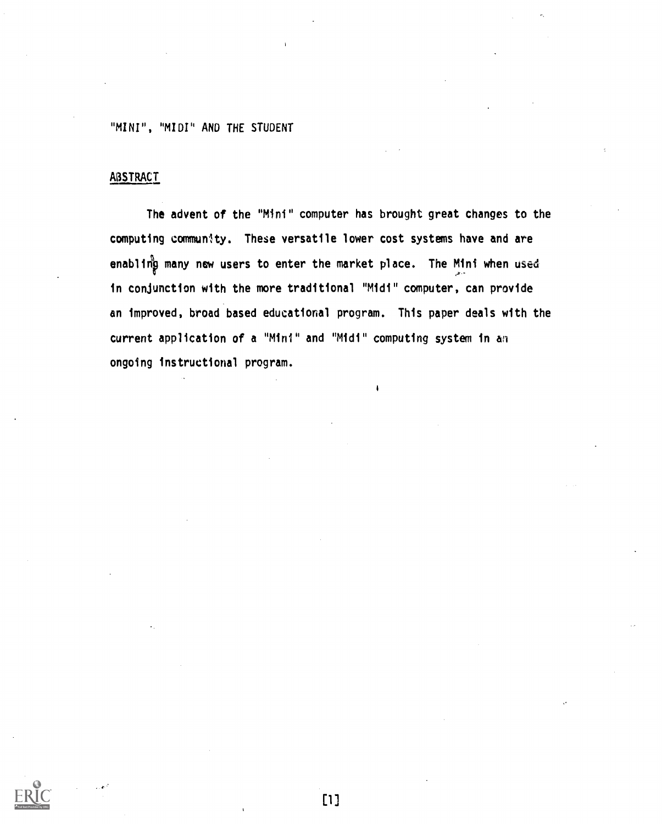# **ABSTRACT**

The advent of the "Mini" computer has brought great changes to the computing community. These versatile lower cost systems have and are enabling many new users to enter the market place. The Mini when used in conjunction with the more traditional "Midi" computer, can provide an improved, broad based educational program. This paper deals with the current application of a "Mini" and "Midi" computing system in an ongoing instructional program.

[1]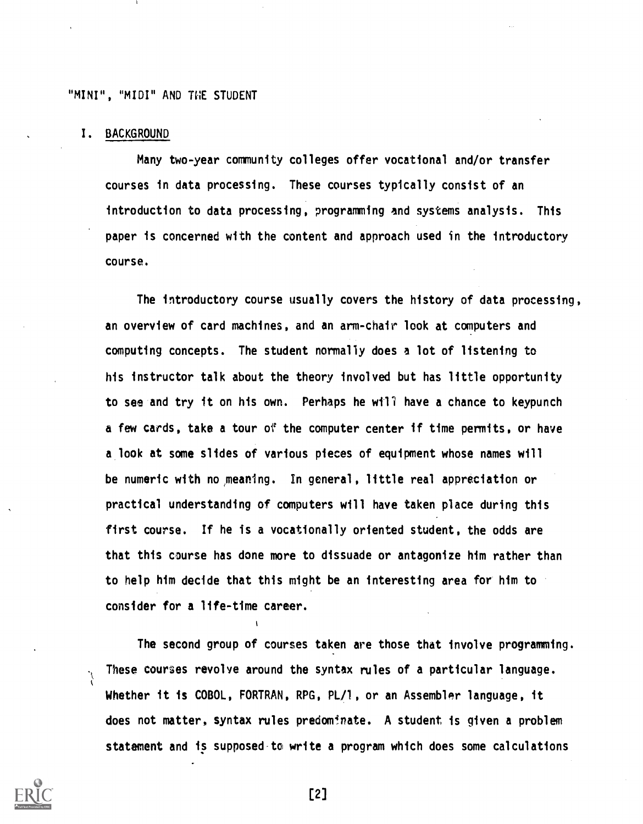#### I. BACKGROUND

Many two-year community colleges offer vocational and/or transfer courses in data processing. These courses typically consist of an introduction to data processing, programming and systems analysis. This paper is concerned with the content and approach used in the introductory course.

The introductory course usually covers the history of data processing, an overview of card machines, and an arm-chair look at computers and computing concepts. The student normally does a lot of listening to his instructor talk about the theory involved but has little opportunity to see and try it on his own. Perhaps he will have a chance to keypunch a few cards, take a tour of the computer center if time permits, or have a.look at some slides of various pieces of equipment whose names will be numeric with no meaning. In general, little real appreciation or practical understanding of computers will have taken place during this first course. If he is a vocationally oriented student, the odds are that this course has done more to dissuade or antagonize him rather than to help him decide that this might be an interesting area for him to consider for a life-time career.

The second group of courses taken are those that involve programming. These courses revolve around the syntax rules of a particular language. Whether it is COBOL, FORTRAN, RPG, PL/1, or an Assembler language, it does not matter, syntax rules predominate. A student is given a problem statement and is supposed-to write a program which does some calculations



Ņ

[2]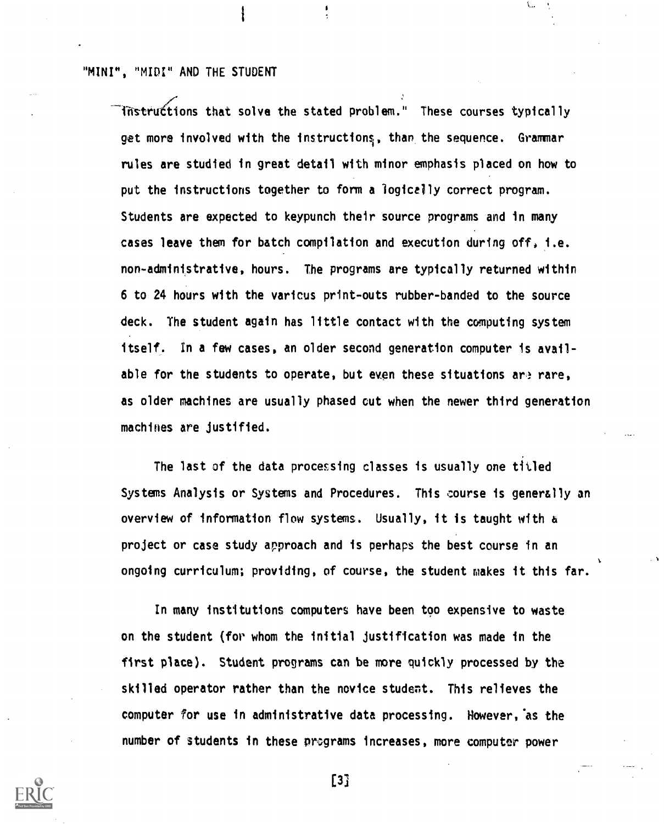instructions that solve the stated problem." These courses typically get more involved with the instructions, than the sequence. Grammar rules are studied in great detail with minor emphasis placed on how to put the instructions together to form a logically correct program. Students are expected to keypunch their source programs and in many cases leave them for batch compilation and execution during off, i.e. non-administrative, hours. The programs are typically returned within 6 to 24 hours with the varicus print-outs rubber-banded to the source deck. The student again has little contact with the computing system itself. In a few cases, an older second generation computer is available for the students to operate, but even these situations are rare, as older machines are usually phased cut when the newer third generation machines are justified.

i.,

The last of the data processing classes is usually one titled Systems Analysis or Systems and Procedures. This course is generally an overview of information flow systems. Usually, it is taught with a project or case study approach and is perhaps the best course in an ongoing curriculum; providing, of course, the student makes it this far.

In many institutions computers have been too expensive to waste on the student (for whom the initial justification was made in the first place). Student programs can be more quickly processed by the skilled operator rather than the novice student. This relieves the computer for use in administrative data processing. However,'as the number of students in these programs increases, more computer power



[33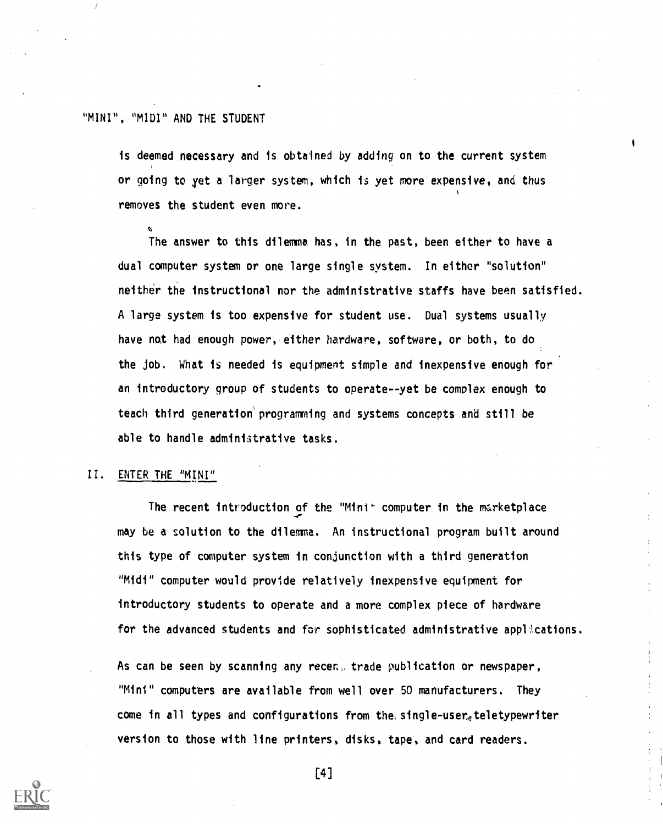is deemed necessary and is obtained by adding on to the current system or going to yet a larger system, which is yet more expensive, and thus removes the student even more.

The answer to this dilemma has, in the past, been either to have a dual computer system or one large single system. In either "solution" neither the instructional nor the administrative staffs have been satisfied. A large system is too expensive for student use. Dual systems usually have not had enough power, either hardware, software, or both, to do the job. What is needed is equipment simple and inexpensive enough for an introductory group of students to operate--yet be complex enough to teach third generaticon'programming and systems concepts and still be able to handle administrative tasks.

#### II. ENTER THE "MINI"

The recent introduction of the "Mini' computer in the marketplace may be a solution to the dilemma. An instructional program built around this type of computer system in conjunction with a third generation "Midi" computer would provide relatively inexpensive equipment for introductory students to operate and a more complex piece of hardware for the advanced students and for sophisticated administrative applications.

As can be seen by scanning any recent trade publication or newspaper, "Mini" computers are available from well over 50 manufacturers. They come in all types and configurations from the single-user teletypewriter version to those with line printers, disks, tape, and card readers.



[4]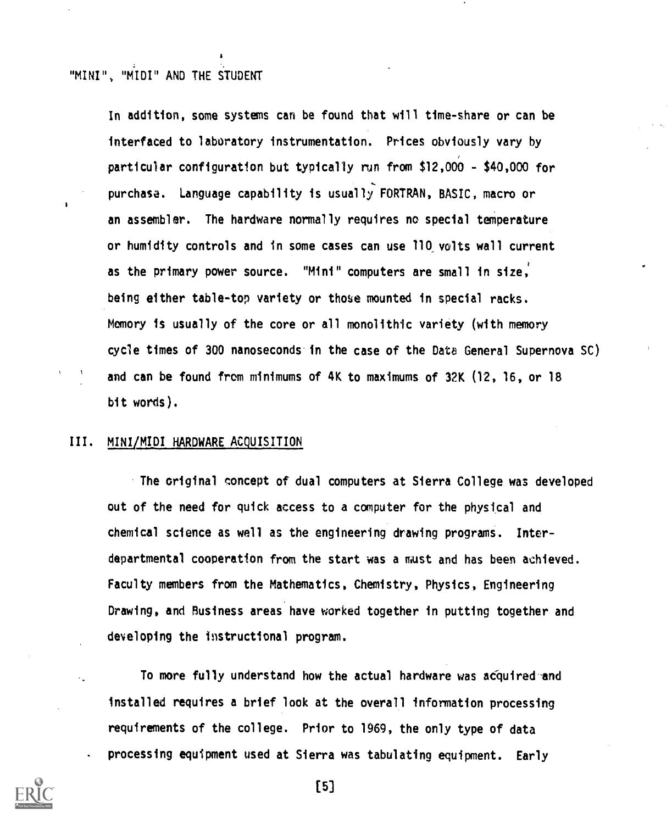In addition, some systems can be found that will time-share or can be interfaced to laboratory instrumentation. Prices obviously vary by particular configuration but typically run from \$12,000 - \$40,000 for purchase. Language capability is usually FORTRAN, BASIC, macro or an assembler. The hardware normally requires no special temperature or humidity controls and in some cases can use 110, volts wall current as the primary power source. "Mini" computers are small in size. being either table-top variety or those mounted in special racks. Memory is usually of the core or all monolithic variety (with memory cycle times of 300 nanoseconds.in the case of the Data General Supernova SC) and can be found from minimums of 4K to maximums of 32K (12, 16, or 18 bit words).

#### III. MINI/MIDI HARDWARE ACQUISITION

The original concept of dual computers at Sierra College was developed out of the need for quick access to a computer for the physical and chemical science as well as the engineering drawing programS. Interdepartmental cooperation from the start was a must and has been achieved. Faculty members from the Mathematics, Chemistry, Physics, Engineering Drawing, and Business areas have worked together in putting together and developing the instructional program.

To more fully understand how the actual hardware was acquired-and installed requires a brief look at the overall information processing requirements of the college. Prior to 1969, the only type of data processing equipment used at Sierra was tabulating equipment. Early



[5]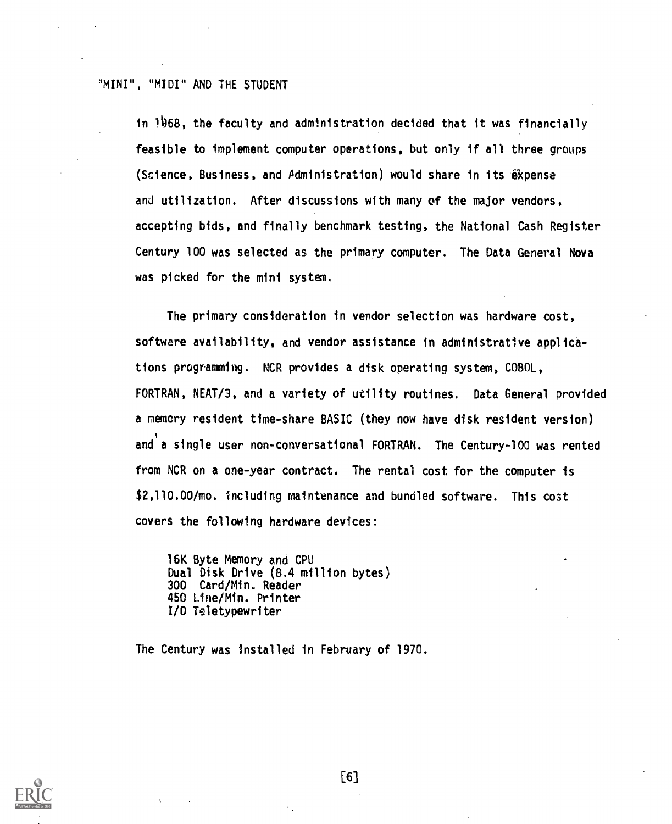in 168, the faculty and administration decided that it was financially feasible to implement computer operations, but only if all three groups (Science, Business, and Administration) would share in its expense and utilization. After discussions with many of the major vendors, accepting bids, and finally benchmark testing, the National Cash Register Century 100 was selected as the primary computer. The Data General Nova was picked for the mini system.

The primary consideration in vendor selection was hardware cost, software availability, and vendor assistance in administrative applications programming. NCR provides a disk operating system, COBOL, FORTRAN, NEAT/3, and a variety of utility routines. Data General provided a memory resident time-share BASIC (they now have disk resident version) and a single user non-conversational FORTRAN. The Century-100 was rented from NCR on a one-year contract. The rental cost for the computer is \$2,110.00/mo. including maintenance and bundled software. This cost covers the following hardware devices:

16K Byte Memory and CPU Dual Disk Drive (8.4 million bytes) 300 Card/Min. Reader 450 Line/Min. Printer I/O Teletypewriter

The Century was installed in February of 1970.



[6]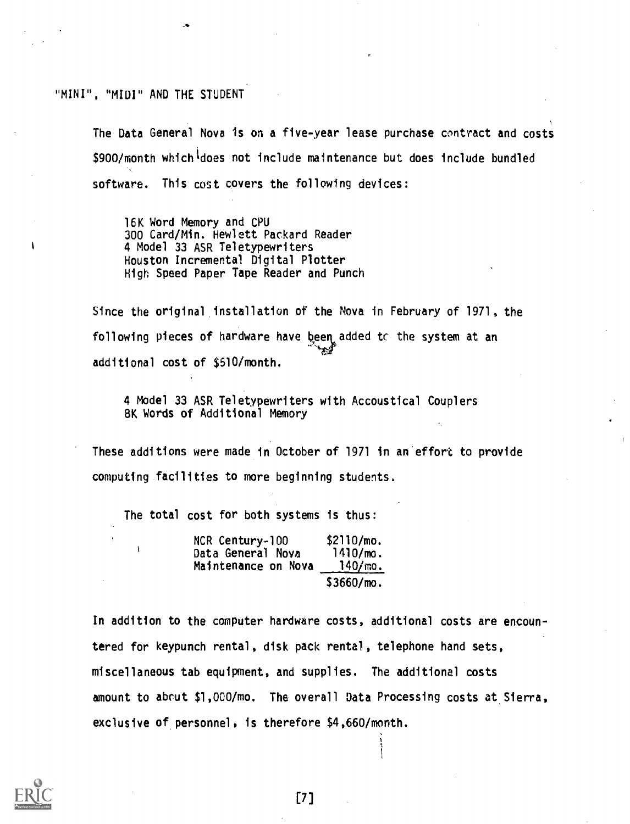The Data General Nova is on a five-year lease purchase contract and costs \$900/month which does not include maintenance but does include bundled software. This cost covers the following devices:

16K Word Memory and CPU 300 Card/Min. Hewlett Packard Reader 4 Model 33 ASR Teletypewriters Houston Incremental Digital Plotter High Speed Paper Tape Reader and Punch

Since the original installation of the Nova in February of 1971, the following pieces of hardware have been added to the system at an additional cost of \$510/month.

4 Model 33 ASR Teletypewriters with Accoustical Couplers 8K Words of Additional Memory

These additions were made in October of 1971 in an'effort to provide computing facilities to more beginning students.

The total cost for both systems is thus:

| NCR Century-100     | \$2110/mo.  |
|---------------------|-------------|
| Data General Nova   | $1410/m0$ . |
| Maintenance on Nova | 140/m0.     |
|                     | \$3660/m0.  |

In addition to the computer hardware costs, additional costs are encountered for keypunch rental, disk pack rental, telephone hand sets, miscellaneous tab equipment, and supplies. The additional costs amount to about \$1,000/mo. The overall Data Processing costs at Sierra, exclusive of personnel, is therefore \$4,660/month.

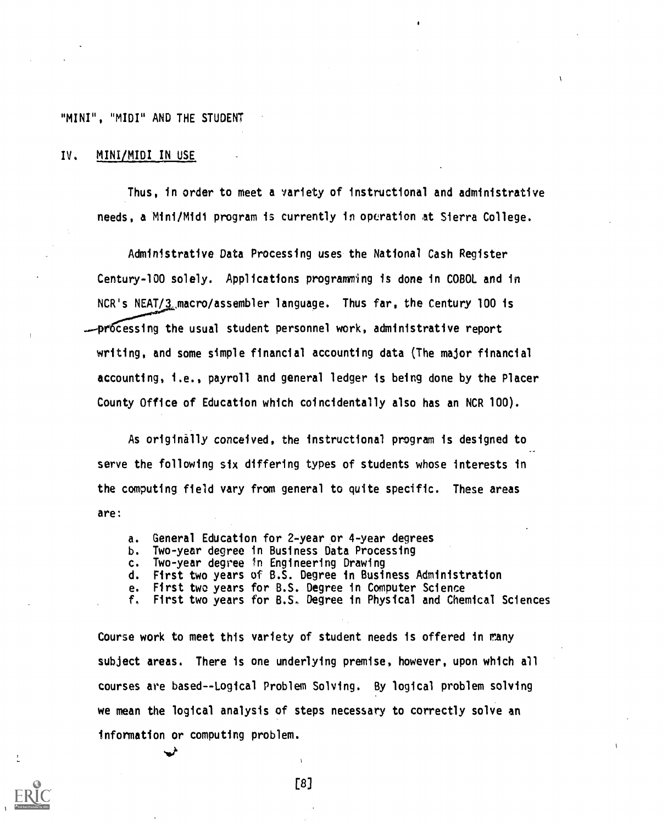#### IV, MINI/MIDI IN USE

Thus, in order to meet a variety of instructional and administrative needs, a Mini/Midi program is currently in operation at Sierra College.

Administrative Data Processing uses the National Cash Register Century-100 solely. Applications programming is done in COBOL and in NCR's NEAT/3\_macro/assembler language. Thus far, the Century 100 is -processing the usual student personnel work, administrative report writing, and some simple financial accounting data (The major financial accounting, i.e., payroll and general ledger is being done by the Placer County Office of Education which coincidentally also has an NCR 100).

As originally conceived, the instructional program is designed to serve the following six differing types of students whose interests in the computing field vary from general to quite specific. These areas are:

- a. General Education for 2-year or 4-year degrees
- b. Two-year degree in Business Data Processing
- c. Two-year degree In Engineering Drawing
- d. First two years of B.S. Degree in Business Administration
- e. First two years for B.S. Degree in Computer Science
- f, First two years for B.S. Degree in Physical and Chemical Sciences

Course work to meet this variety of student needs is offered in many subject areas. There is one underlying premise, however, upon which all courses are based--Logical Problem Solving. By logical problem solving we mean the logical analysis of steps necessary to correctly solve an information or computing problem.

[8]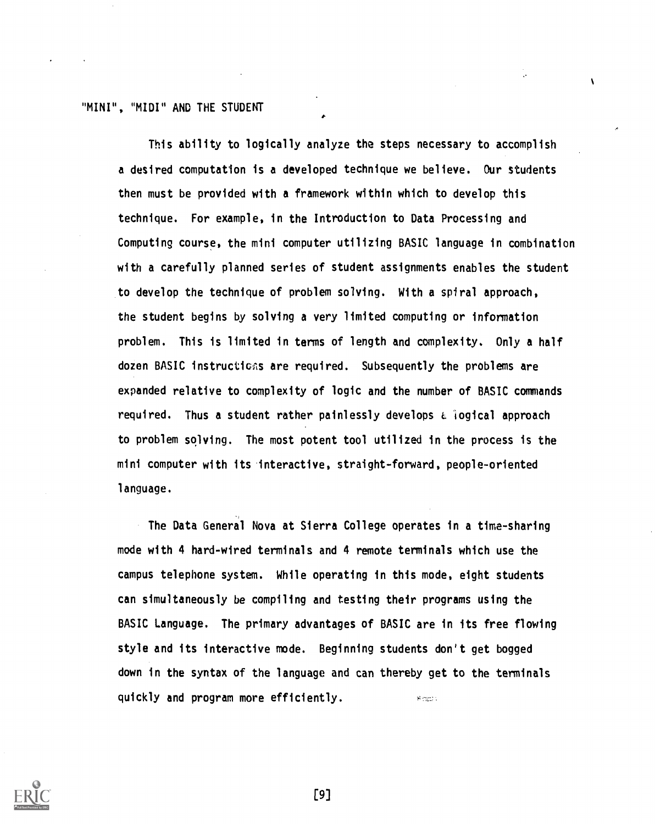This ability to logically analyze the steps necessary to accomplish a desired computation is a developed technique we believe. Our students then must be provided with a framework within which to develop this technique. For example, in the Introduction to Data Processing and Computing course, the mini computer utilizing BASIC language in combination with a carefully planned series of student assignments enables the student to develop the technique of problem solving. With a spiral approach, the student begins by solving a very limited computing or information problem. This is limited in terms of length and complexity. Only a half dozen BASIC instructions are required. Subsequently the problems are expanded relative to complexity of logic and the number of BASIC commands required. Thus a student rather painlessly develops a logical approach to problem solving. The most potent tool utilized in the process is the mini computer with its -interactive, straight-forward, people-oriented language.

 $\mathbf{r}$ 

The Data General Nova at Sierra College operates in a time-sharing mode with 4 hard-wired terminals and 4 remote terminals which use the campus telephone system. While operating in this mode, eight students can simultaneously be compiling and testing their programs using the BASIC Language. The primary advantages of BASIC are in its free flowing style and its interactive mode. Beginning students don't get bogged down in the syntax of the language and can thereby get to the terminals quickly and program more efficiently. **Simps** 



[9]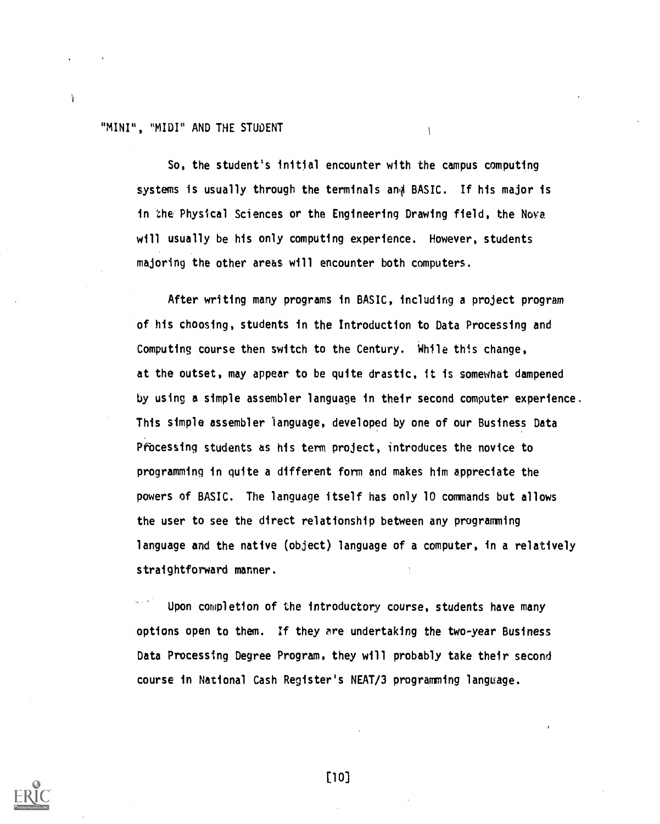$\mathbf{Y}$ 

So, the student's initial encounter with the campus computing systems is usually through the terminals and BASIC. If his major is in the Physical Sciences or the Engineering Drawing field, the Nova will usually be his only computing experience. However, students majoring the other areas will encounter both computers.

 $\overline{1}$ 

After writing many programs in BASIC, including a project program of his choosing, students in the Introduction to Data Processing and Computing course then switch to the Century. While this change, at the outset, may appear to be quite drastic, it is somewhat dampened by using a simple assembler language in their second computer experience. This simple assembler language, developed by one of our Business Data Processing students as his term project, introduces the novice to programming in quite a different form and makes him appreciate the powers of BASIC. The language itself has only 10 commands but allows the user to see the direct relationship between any programming language and the native (object) language of a computer, in a relatively straightforward manner.

Upon completion of the introductory course, students have many options open to them. If they are undertaking the two-year Business Data Processing Degree Program, they will probably take their second course in National Cash Register's NEAT/3 programming language.



E10]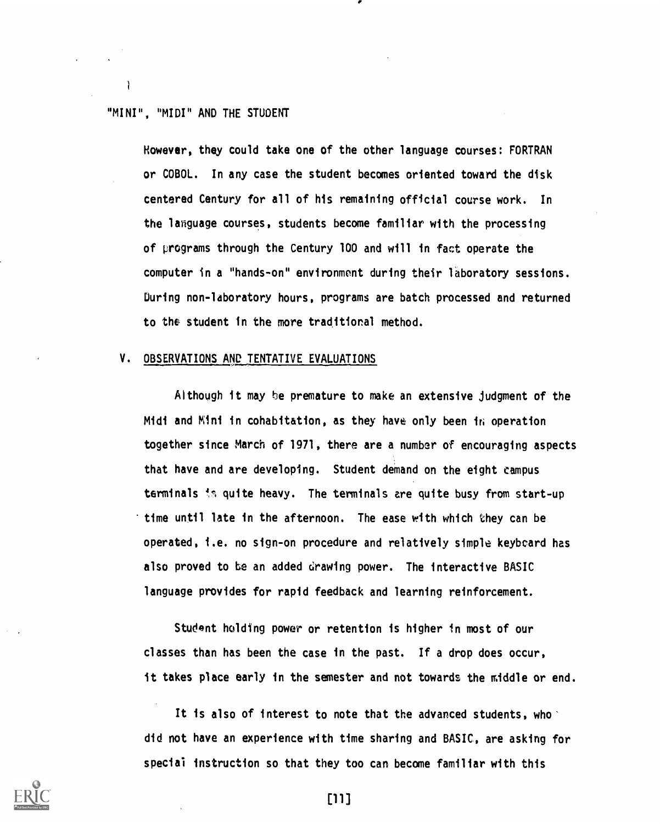1

However, they could take one of the other language courses: FORTRAN or COBOL. In any case the student becomes oriented toward the disk centered Century for all of his remaining official course work. In the language courses, students become familiar with the processing of programs through the Century 100 and will in fact operate the computer in a "hands-on" environment during their laboratory sessions. During non-laboratory hours, programs are batch processed and returned to the student in the more traditional method.

### V. OBSERVATIONS AND TENTATIVE EVALUATIONS

Although it may be premature to make an extensive judgment of the Midi and Mini in cohabitation, as they have only been in operation together since March of 1971, there are a number of encouraging aspects that have and are developing. Student demand on the eight campus terminals is quite heavy. The terminals are quite busy from start-up time until late in the afternoon. The ease with which they can be operated, i.e. no sign-on procedure and relatively simple keybcard has also proved to be an added drawing power. The interactive BASIC language provides for rapid feedback and learning reinforcement.

Student holding power or retention is higher in most of our classes than has been the case in the past. If a drop does occur, it takes place early in the semester and not towards the middle or end.

It is also of interest to note that the advanced students, who did not have an experience with time sharing and BASIC, are asking for special instruction so that they too can become familiar with this



וווז